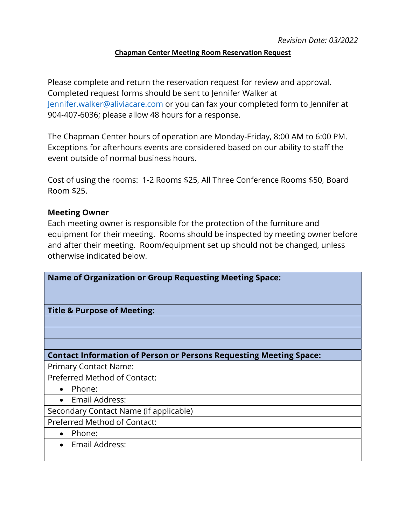## **Chapman Center Meeting Room Reservation Request**

Please complete and return the reservation request for review and approval. Completed request forms should be sent to Jennifer Walker at [Jennifer.walker@aliviacare.com](mailto:Jennifer.walker@aliviacare.com) or you can fax your completed form to Jennifer at 904-407-6036; please allow 48 hours for a response.

The Chapman Center hours of operation are Monday-Friday, 8:00 AM to 6:00 PM. Exceptions for afterhours events are considered based on our ability to staff the event outside of normal business hours.

Cost of using the rooms: 1-2 Rooms \$25, All Three Conference Rooms \$50, Board Room \$25.

## **Meeting Owner**

Each meeting owner is responsible for the protection of the furniture and equipment for their meeting. Rooms should be inspected by meeting owner before and after their meeting. Room/equipment set up should not be changed, unless otherwise indicated below.

| <b>Name of Organization or Group Requesting Meeting Space:</b>            |
|---------------------------------------------------------------------------|
|                                                                           |
| <b>Title &amp; Purpose of Meeting:</b>                                    |
|                                                                           |
|                                                                           |
|                                                                           |
| <b>Contact Information of Person or Persons Requesting Meeting Space:</b> |
| <b>Primary Contact Name:</b>                                              |
| Preferred Method of Contact:                                              |
| Phone:<br>$\bullet$                                                       |
| Email Address:                                                            |
| Secondary Contact Name (if applicable)                                    |
| <b>Preferred Method of Contact:</b>                                       |
| Phone:<br>$\bullet$                                                       |
| Email Address:                                                            |
|                                                                           |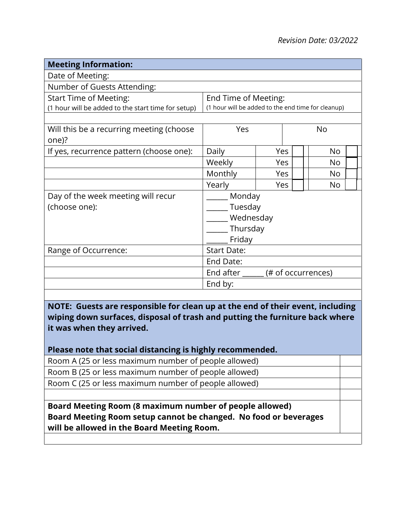| <b>Meeting Information:</b>                         |                                                      |     |  |    |  |  |
|-----------------------------------------------------|------------------------------------------------------|-----|--|----|--|--|
| Date of Meeting:                                    |                                                      |     |  |    |  |  |
| Number of Guests Attending:                         |                                                      |     |  |    |  |  |
| <b>Start Time of Meeting:</b>                       | End Time of Meeting:                                 |     |  |    |  |  |
| (1 hour will be added to the start time for setup)  | (1 hour will be added to the end time for cleanup)   |     |  |    |  |  |
| Will this be a recurring meeting (choose<br>one)?   | Yes<br>No                                            |     |  |    |  |  |
| If yes, recurrence pattern (choose one):            | Daily                                                | Yes |  | No |  |  |
|                                                     | Weekly                                               | Yes |  | No |  |  |
|                                                     | Monthly                                              | Yes |  | No |  |  |
|                                                     | Yearly                                               | Yes |  | No |  |  |
| Day of the week meeting will recur<br>(choose one): | Monday<br>Tuesday<br>Wednesday<br>Thursday<br>Friday |     |  |    |  |  |
| Range of Occurrence:                                | <b>Start Date:</b>                                   |     |  |    |  |  |
|                                                     | End Date:                                            |     |  |    |  |  |
|                                                     | End after ______ (# of occurrences)                  |     |  |    |  |  |
|                                                     | End by:                                              |     |  |    |  |  |

**NOTE: Guests are responsible for clean up at the end of their event, including wiping down surfaces, disposal of trash and putting the furniture back where it was when they arrived.** 

## **Please note that social distancing is highly recommended.**

Room A (25 or less maximum number of people allowed) Room B (25 or less maximum number of people allowed)

Room C (25 or less maximum number of people allowed)

**Board Meeting Room (8 maximum number of people allowed) Board Meeting Room setup cannot be changed. No food or beverages will be allowed in the Board Meeting Room.**